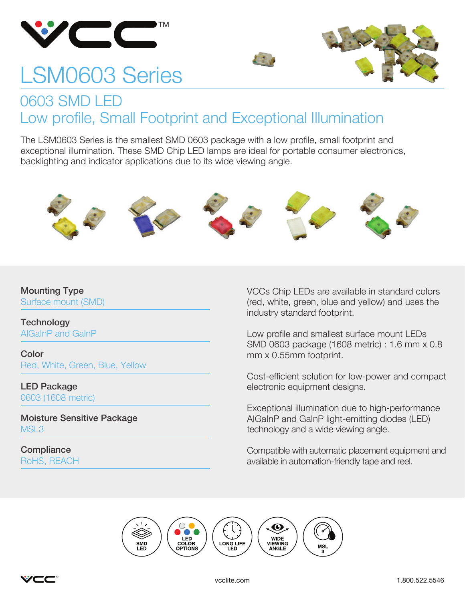

# LSM0603 Series



#### 0603 SMD LED Low profile, Small Footprint and Exceptional Illumination

The LSM0603 Series is the smallest SMD 0603 package with a low profile, small footprint and exceptional illumination. These SMD Chip LED lamps are ideal for portable consumer electronics, backlighting and indicator applications due to its wide viewing angle.



#### Mounting Type Surface mount (SMD)

**Technology** AIGaInP and GaInP

Color Red, White, Green, Blue, Yellow

LED Package 0603 (1608 metric)

Moisture Sensitive Package MSL<sub>3</sub>

**Compliance** RoHS, REACH VCCs Chip LEDs are available in standard colors (red, white, green, blue and yellow) and uses the industry standard footprint.

Low profile and smallest surface mount LEDs SMD 0603 package (1608 metric) : 1.6 mm x 0.8 mm x 0.55mm footprint.

Cost-efficient solution for low-power and compact electronic equipment designs.

Exceptional illumination due to high-performance AIGaInP and GaInP light-emitting diodes (LED) technology and a wide viewing angle.

Compatible with automatic placement equipment and available in automation-friendly tape and reel.